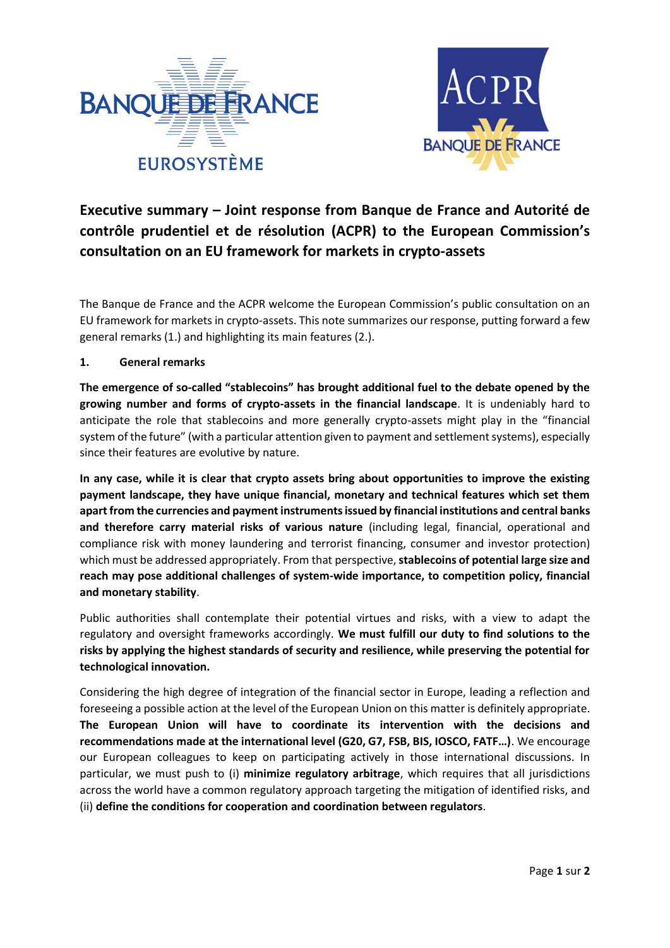



## **Executive summary – Joint response from Banque de France and Autorité de contrôle prudentiel et de résolution (ACPR) to the European Commission's consultation on an EU framework for markets in crypto-assets**

The Banque de France and the ACPR welcome the European Commission's public consultation on an EU framework for markets in crypto-assets. This note summarizes our response, putting forward a few general remarks (1.) and highlighting its main features (2.).

## **1. General remarks**

**The emergence of so-called "stablecoins" has brought additional fuel to the debate opened by the growing number and forms of crypto-assets in the financial landscape**. It is undeniably hard to anticipate the role that stablecoins and more generally crypto-assets might play in the "financial system of the future" (with a particular attention given to payment and settlement systems), especially since their features are evolutive by nature.

**In any case, while it is clear that crypto assets bring about opportunities to improve the existing payment landscape, they have unique financial, monetary and technical features which set them apart from the currencies and payment instruments issued by financial institutions and central banks and therefore carry material risks of various nature** (including legal, financial, operational and compliance risk with money laundering and terrorist financing, consumer and investor protection) which must be addressed appropriately. From that perspective, **stablecoins of potential large size and reach may pose additional challenges of system-wide importance, to competition policy, financial and monetary stability**.

Public authorities shall contemplate their potential virtues and risks, with a view to adapt the regulatory and oversight frameworks accordingly. **We must fulfill our duty to find solutions to the risks by applying the highest standards of security and resilience, while preserving the potential for technological innovation.**

Considering the high degree of integration of the financial sector in Europe, leading a reflection and foreseeing a possible action at the level of the European Union on this matter is definitely appropriate. **The European Union will have to coordinate its intervention with the decisions and recommendations made at the international level (G20, G7, FSB, BIS, IOSCO, FATF…)**. We encourage our European colleagues to keep on participating actively in those international discussions. In particular, we must push to (i) **minimize regulatory arbitrage**, which requires that all jurisdictions across the world have a common regulatory approach targeting the mitigation of identified risks, and (ii) **define the conditions for cooperation and coordination between regulators**.